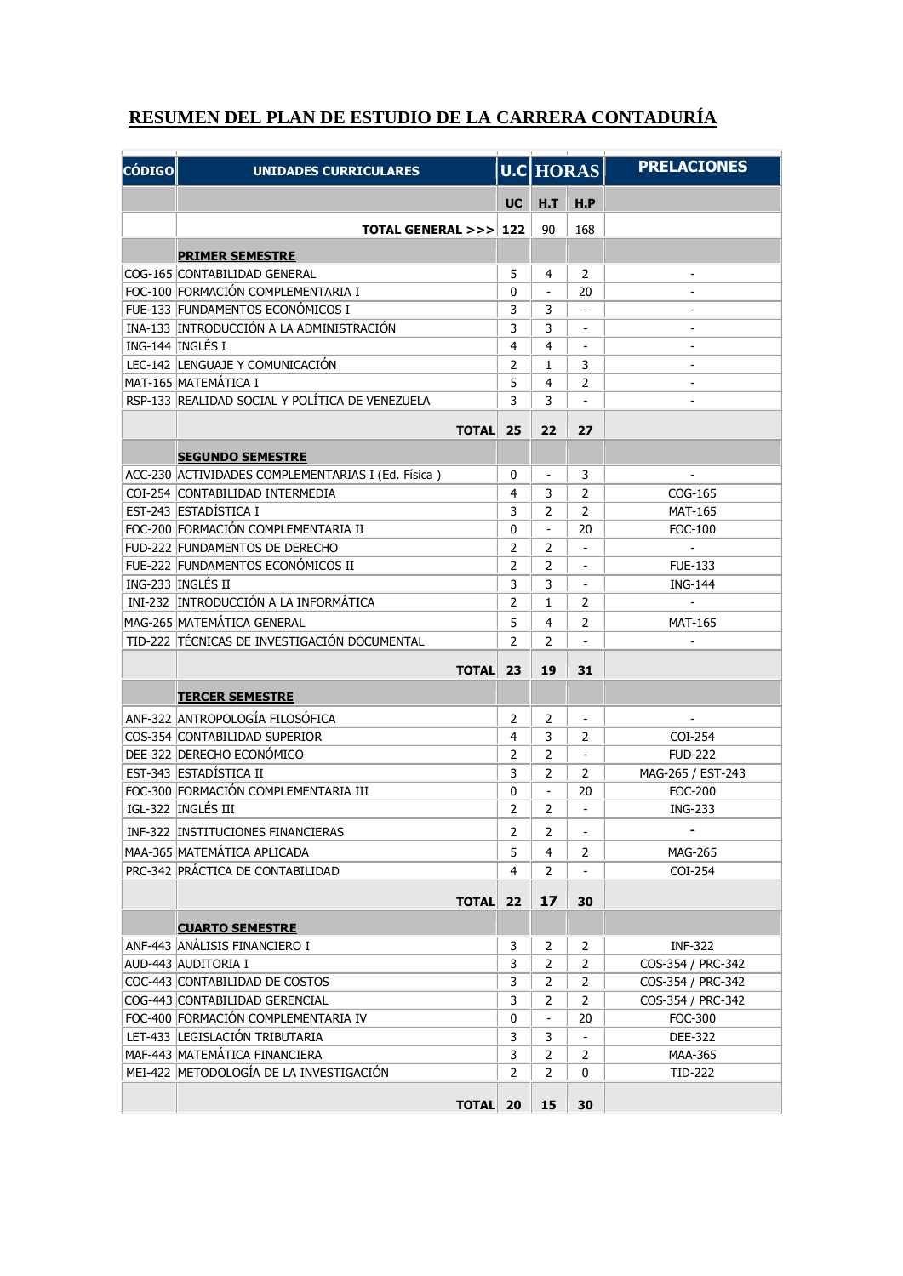## **RESUMEN DEL PLAN DE ESTUDIO DE LA CARRERA CONTADURÍA**

| <b>CÓDIGO</b> | <b>UNIDADES CURRICULARES</b>                       |                | U.C HORAS      |                          | <b>PRELACIONES</b> |
|---------------|----------------------------------------------------|----------------|----------------|--------------------------|--------------------|
|               |                                                    | <b>UC</b>      | H.T            | H.P                      |                    |
|               | <b>TOTAL GENERAL &gt;&gt;&gt;I</b>                 | 122            | 90             | 168                      |                    |
|               | <b>PRIMER SEMESTRE</b>                             |                |                |                          |                    |
|               | COG-165 CONTABILIDAD GENERAL                       | 5              | 4              | 2                        |                    |
|               | FOC-100 FORMACIÓN COMPLEMENTARIA I                 | 0              | $\overline{a}$ | 20                       |                    |
|               | FUE-133 FUNDAMENTOS ECONÓMICOS I                   | 3              | 3              |                          |                    |
|               | INA-133 INTRODUCCIÓN A LA ADMINISTRACIÓN           | 3              | 3              |                          |                    |
|               | ING-144 INGLÉS I                                   | 4              | 4              |                          |                    |
|               | LEC-142 LENGUAJE Y COMUNICACIÓN                    | $\overline{2}$ | $\mathbf{1}$   | 3                        |                    |
|               | MAT-165 MATEMÁTICA I                               | 5              | 4              | $\overline{2}$           |                    |
|               | RSP-133 REALIDAD SOCIAL Y POLÍTICA DE VENEZUELA    | 3              | 3              |                          |                    |
|               | <b>TOTAL</b>                                       | 25             | 22             | 27                       |                    |
|               | <b>SEGUNDO SEMESTRE</b>                            |                |                |                          |                    |
|               | ACC-230 ACTIVIDADES COMPLEMENTARIAS I (Ed. Física) | 0              |                | 3                        |                    |
|               | COI-254 CONTABILIDAD INTERMEDIA                    | 4              | 3              | $\overline{2}$           | COG-165            |
|               | EST-243 ESTADÍSTICA I                              | 3              | $\overline{2}$ | $\overline{2}$           | <b>MAT-165</b>     |
|               | FOC-200 FORMACIÓN COMPLEMENTARIA II                | 0              | $\overline{a}$ | 20                       | FOC-100            |
|               | FUD-222 FUNDAMENTOS DE DERECHO                     | $\overline{2}$ | $\overline{2}$ |                          |                    |
|               | FUE-222 FUNDAMENTOS ECONÓMICOS II                  | $\overline{2}$ | $\overline{2}$ |                          | <b>FUE-133</b>     |
|               | ING-233 INGLÉS II                                  | 3              | 3              |                          | <b>ING-144</b>     |
|               | INI-232 INTRODUCCIÓN A LA INFORMÁTICA              | $\overline{2}$ | $\mathbf{1}$   | $\overline{2}$           |                    |
|               | MAG-265 MATEMÁTICA GENERAL                         | 5              | 4              | 2                        | <b>MAT-165</b>     |
|               | TID-222 TÉCNICAS DE INVESTIGACIÓN DOCUMENTAL       | 2              | $\overline{2}$ |                          |                    |
|               | <b>TOTAL</b>                                       | 23             | 19             | 31                       |                    |
|               | <b>TERCER SEMESTRE</b>                             |                |                |                          |                    |
|               | ANF-322 ANTROPOLOGÍA FILOSÓFICA                    | $\overline{2}$ | $\overline{2}$ | $\Box$                   | $\overline{a}$     |
|               | COS-354 CONTABILIDAD SUPERIOR                      | 4              | 3              | 2                        | COI-254            |
|               | DEE-322 DERECHO ECONÓMICO                          | 2              | 2              | $\omega$                 | <b>FUD-222</b>     |
|               | EST-343 ESTADÍSTICA II                             | 3              | 2              | $\overline{2}$           | MAG-265 / EST-243  |
|               | FOC-300 FORMACIÓN COMPLEMENTARIA III               | 0              | $\overline{a}$ | 20                       | <b>FOC-200</b>     |
|               | IGL-322 INGLÉS III                                 | 2              | 2              | $\overline{\phantom{a}}$ | <b>ING-233</b>     |
|               | INF-322 INSTITUCIONES FINANCIERAS                  | 2              | 2              | $\blacksquare$           |                    |
|               | MAA-365 MATEMÁTICA APLICADA                        | 5              | 4              | 2                        | MAG-265            |
|               | PRC-342 PRÁCTICA DE CONTABILIDAD                   | 4              | 2              |                          | COI-254            |
|               | <b>TOTAL</b>                                       | 22             | 17             | 30                       |                    |
|               | <b>CUARTO SEMESTRE</b>                             |                |                |                          |                    |
|               | ANF-443 ANÁLISIS FINANCIERO I                      | 3              | 2              | $\overline{2}$           | <b>INF-322</b>     |
|               | AUD-443 AUDITORIA I                                | 3              | 2              | $\overline{2}$           | COS-354 / PRC-342  |
|               | COC-443 CONTABILIDAD DE COSTOS                     | 3              | 2              | $\overline{2}$           | COS-354 / PRC-342  |
|               | COG-443 CONTABILIDAD GERENCIAL                     | 3              | 2              | $\overline{2}$           | COS-354 / PRC-342  |
|               | FOC-400 FORMACIÓN COMPLEMENTARIA IV                | 0              | $\frac{1}{2}$  | 20                       | FOC-300            |
|               | LET-433 LEGISLACIÓN TRIBUTARIA                     | 3              | 3              | $\overline{\phantom{a}}$ | DEE-322            |
|               | MAF-443 MATEMÁTICA FINANCIERA                      | 3              | 2              | $\overline{2}$           | MAA-365            |
|               | MEI-422 METODOLOGÍA DE LA INVESTIGACIÓN            | 2              | 2              | 0                        | TID-222            |
|               | <b>TOTAL</b>                                       | 20             | 15             | 30                       |                    |